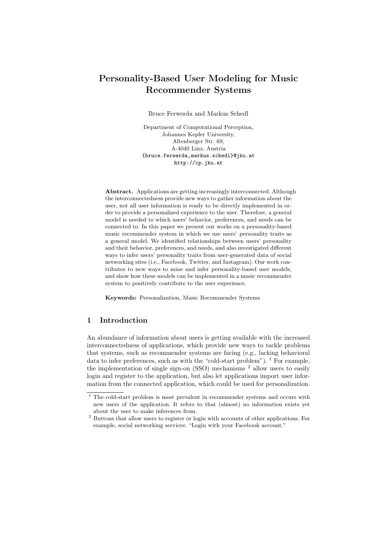# Personality-Based User Modeling for Music Recommender Systems

Bruce Ferwerda and Markus Schedl

Department of Computational Perception, Johannes Kepler University, Altenberger Str. 69, A-4040 Linz, Austria {bruce.ferwerda,markus.schedl}@jku.at http://cp.jku.at

Abstract. Applications are getting increasingly interconnected. Although the interconnectedness provide new ways to gather information about the user, not all user information is ready to be directly implemented in order to provide a personalized experience to the user. Therefore, a general model is needed to which users' behavior, preferences, and needs can be connected to. In this paper we present our works on a personality-based music recommender system in which we use users' personality traits as a general model. We identified relationships between users' personality and their behavior, preferences, and needs, and also investigated different ways to infer users' personality traits from user-generated data of social networking sites (i.e., Facebook, Twitter, and Instagram). Our work contributes to new ways to mine and infer personality-based user models, and show how these models can be implemented in a music recommender system to positively contribute to the user experience.

Keywords: Personalization, Music Recommender Systems

# 1 Introduction

An abundance of information about users is getting available with the increased interconnectedness of applications, which provide new ways to tackle problems that systems, such as recommender systems are facing (e.g., lacking behavioral data to infer preferences, such as with the "cold-start problem").  $1$  For example, the implementation of single sign-on  $(SSO)$  mechanisms  $<sup>2</sup>$  allow users to easily</sup> login and register to the application, but also let applications import user information from the connected application, which could be used for personalization.

 $^{\rm 1}$  The cold-start problem is most prevalent in recommender systems and occurs with new users of the application. It refers to that (almost) no information exists yet about the user to make inferences from.

 $^{\rm 2}$  Buttons that allow users to register or login with accounts of other applications. For example, social networking services: "Login with your Facebook account."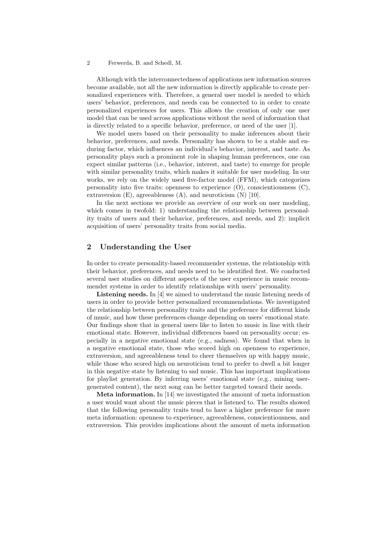#### 2 Ferwerda, B. and Schedl, M.

Although with the interconnectedness of applications new information sources become available, not all the new information is directly applicable to create personalized experiences with. Therefore, a general user model is needed to which users' behavior, preferences, and needs can be connected to in order to create personalized experiences for users. This allows the creation of only one user model that can be used across applications without the need of information that is directly related to a specific behavior, preference, or need of the user [1].

We model users based on their personality to make inferences about their behavior, preferences, and needs. Personality has shown to be a stable and enduring factor, which influences an individual's behavior, interest, and taste. As personality plays such a prominent role in shaping human preferences, one can expect similar patterns (i.e., behavior, interest, and taste) to emerge for people with similar personality traits, which makes it suitable for user modeling. In our works, we rely on the widely used five-factor model (FFM), which categorizes personality into five traits: openness to experience  $(O)$ , conscientiousness  $(C)$ , extraversion  $(E)$ , agreeableness  $(A)$ , and neuroticism  $(N)$  [10].

In the next sections we provide an overview of our work on user modeling, which comes in twofold: 1) understanding the relationship between personality traits of users and their behavior, preferences, and needs, and 2): implicit acquisition of users' personality traits from social media.

## 2 Understanding the User

In order to create personality-based recommender systems, the relationship with their behavior, preferences, and needs need to be identified first. We conducted several user studies on different aspects of the user experience in music recommender systems in order to identify relationships with users' personality.

Listening needs. In [4] we aimed to understand the music listening needs of users in order to provide better personalized recommendations. We investigated the relationship between personality traits and the preference for different kinds of music, and how these preferences change depending on users' emotional state. Our findings show that in general users like to listen to music in line with their emotional state. However, individual differences based on personality occur; especially in a negative emotional state (e.g., sadness). We found that when in a negative emotional state, those who scored high on openness to experience, extraversion, and agreeableness tend to cheer themselves up with happy music, while those who scored high on neuroticism tend to prefer to dwell a bit longer in this negative state by listening to sad music. This has important implications for playlist generation. By inferring users' emotional state (e.g., mining usergenerated content), the next song can be better targeted toward their needs.

Meta information. In [14] we investigated the amount of meta information a user would want about the music pieces that is listened to. The results showed that the following personality traits tend to have a higher preference for more meta information: openness to experience, agreeableness, conscientiousness, and extraversion. This provides implications about the amount of meta information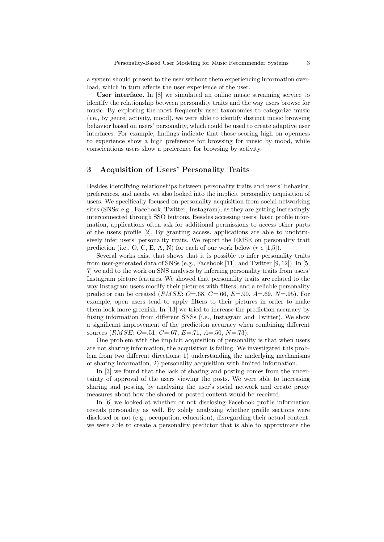a system should present to the user without them experiencing information overload, which in turn affects the user experience of the user.

User interface. In [8] we simulated an online music streaming service to identify the relationship between personality traits and the way users browse for music. By exploring the most frequently used taxonomies to categorize music (i.e., by genre, activity, mood), we were able to identify distinct music browsing behavior based on users' personality, which could be used to create adaptive user interfaces. For example, findings indicate that those scoring high on openness to experience show a high preference for browsing for music by mood, while conscientious users show a preference for browsing by activity.

#### 3 Acquisition of Users' Personality Traits

Besides identifying relationships between personality traits and users' behavior, preferences, and needs, we also looked into the implicit personality acquisition of users. We specifically focused on personality acquisition from social networking sites (SNSs: e.g., Facebook, Twitter, Instagram), as they are getting increasingly interconnected through SSO buttons. Besides accessing users' basic profile information, applications often ask for additional permissions to access other parts of the users profile [2]. By granting access, applications are able to unobtrusively infer users' personality traits. We report the RMSE on personality trait prediction (i.e., O, C, E, A, N) for each of our work below  $(r \in [1,5])$ .

Several works exist that shows that it is possible to infer personality traits from user-generated data of SNSs (e.g., Facebook [11], and Twitter [9, 12]). In [5, 7] we add to the work on SNS analyses by inferring personality traits from users' Instagram picture features. We showed that personality traits are related to the way Instagram users modify their pictures with filters, and a reliable personality predictor can be created  $(RMSE: O=68, C=66, E=90, A=69, N=95)$ . For example, open users tend to apply filters to their pictures in order to make them look more greenish. In [13] we tried to increase the prediction accuracy by fusing information from different SNSs (i.e., Instagram and Twitter). We show a significant improvement of the prediction accuracy when combining different sources (*RMSE*:  $O = .51$ ,  $C = .67$ ,  $E = .71$ ,  $A = .50$ ,  $N = .73$ ).

One problem with the implicit acquisition of personality is that when users are not sharing information, the acquisition is failing. We investigated this problem from two different directions: 1) understanding the underlying mechanisms of sharing information, 2) personality acquisition with limited information.

In  $[3]$  we found that the lack of sharing and posting comes from the uncertainty of approval of the users viewing the posts. We were able to increasing sharing and posting by analyzing the user's social network and create proxy measures about how the shared or posted content would be received.

In [6] we looked at whether or not disclosing Facebook profile information reveals personality as well. By solely analyzing whether profile sections were disclosed or not (e.g., occupation, education), disregarding their actual content, we were able to create a personality predictor that is able to approximate the